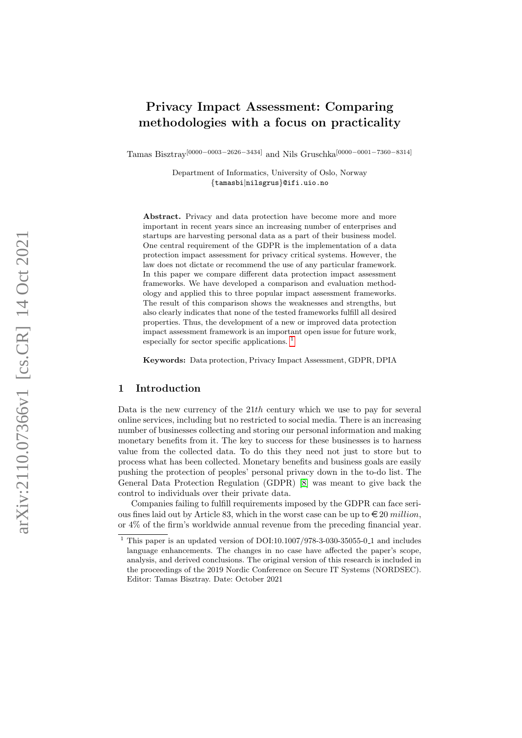# Privacy Impact Assessment: Comparing methodologies with a focus on practicality

Tamas Bisztray<sup>[0000–0003–2626–3434]</sup> and Nils Gruschka<sup>[0000–0001–7360–8314]</sup>

Department of Informatics, University of Oslo, Norway {tamasbi|nilsgrus}@ifi.uio.no

Abstract. Privacy and data protection have become more and more important in recent years since an increasing number of enterprises and startups are harvesting personal data as a part of their business model. One central requirement of the GDPR is the implementation of a data protection impact assessment for privacy critical systems. However, the law does not dictate or recommend the use of any particular framework. In this paper we compare different data protection impact assessment frameworks. We have developed a comparison and evaluation methodology and applied this to three popular impact assessment frameworks. The result of this comparison shows the weaknesses and strengths, but also clearly indicates that none of the tested frameworks fulfill all desired properties. Thus, the development of a new or improved data protection impact assessment framework is an important open issue for future work, especially for sector specific applications. [1](#page-0-0)

Keywords: Data protection, Privacy Impact Assessment, GDPR, DPIA

## 1 Introduction

Data is the new currency of the  $21th$  century which we use to pay for several online services, including but no restricted to social media. There is an increasing number of businesses collecting and storing our personal information and making monetary benefits from it. The key to success for these businesses is to harness value from the collected data. To do this they need not just to store but to process what has been collected. Monetary benefits and business goals are easily pushing the protection of peoples' personal privacy down in the to-do list. The General Data Protection Regulation (GDPR) [\[8\]](#page-15-0) was meant to give back the control to individuals over their private data.

Companies failing to fulfill requirements imposed by the GDPR can face serious fines laid out by Article 83, which in the worst case can be up to  $\epsilon \leq 20$  million. or 4% of the firm's worldwide annual revenue from the preceding financial year.

<span id="page-0-0"></span> $^{\rm 1}$  This paper is an updated version of DOI:10.1007/978-3-030-35055-0.1 and includes language enhancements. The changes in no case have affected the paper's scope, analysis, and derived conclusions. The original version of this research is included in the proceedings of the 2019 Nordic Conference on Secure IT Systems (NORDSEC). Editor: Tamas Bisztray. Date: October 2021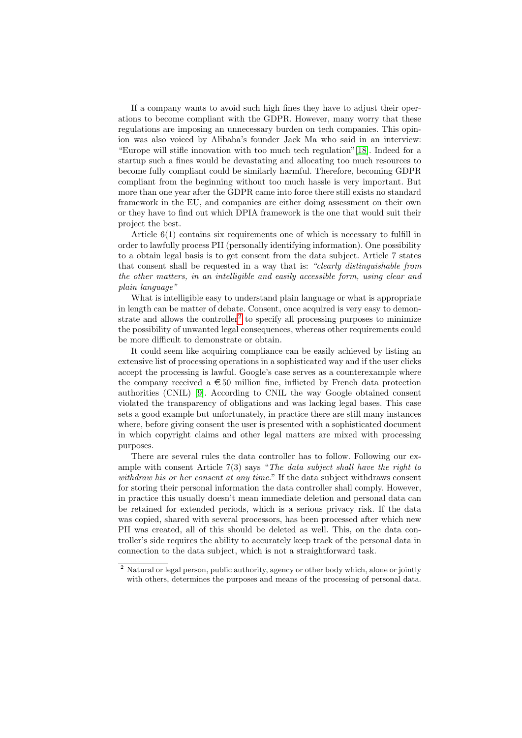If a company wants to avoid such high fines they have to adjust their operations to become compliant with the GDPR. However, many worry that these regulations are imposing an unnecessary burden on tech companies. This opinion was also voiced by Alibaba's founder Jack Ma who said in an interview: "Europe will stifle innovation with too much tech regulation"[\[18\]](#page-16-0). Indeed for a startup such a fines would be devastating and allocating too much resources to become fully compliant could be similarly harmful. Therefore, becoming GDPR compliant from the beginning without too much hassle is very important. But more than one year after the GDPR came into force there still exists no standard framework in the EU, and companies are either doing assessment on their own or they have to find out which DPIA framework is the one that would suit their project the best.

Article 6(1) contains six requirements one of which is necessary to fulfill in order to lawfully process PII (personally identifying information). One possibility to a obtain legal basis is to get consent from the data subject. Article 7 states that consent shall be requested in a way that is: "clearly distinguishable from the other matters, in an intelligible and easily accessible form, using clear and plain language"

What is intelligible easy to understand plain language or what is appropriate in length can be matter of debate. Consent, once acquired is very easy to demon-strate and allows the controller<sup>[2](#page-1-0)</sup> to specify all processing purposes to minimize the possibility of unwanted legal consequences, whereas other requirements could be more difficult to demonstrate or obtain.

It could seem like acquiring compliance can be easily achieved by listing an extensive list of processing operations in a sophisticated way and if the user clicks accept the processing is lawful. Google's case serves as a counterexample where the company received a  $\epsilon$  50 million fine, inflicted by French data protection authorities (CNIL) [\[9\]](#page-15-1). According to CNIL the way Google obtained consent violated the transparency of obligations and was lacking legal bases. This case sets a good example but unfortunately, in practice there are still many instances where, before giving consent the user is presented with a sophisticated document in which copyright claims and other legal matters are mixed with processing purposes.

There are several rules the data controller has to follow. Following our example with consent Article  $7(3)$  says "The data subject shall have the right to withdraw his or her consent at any time." If the data subject withdraws consent for storing their personal information the data controller shall comply. However, in practice this usually doesn't mean immediate deletion and personal data can be retained for extended periods, which is a serious privacy risk. If the data was copied, shared with several processors, has been processed after which new PII was created, all of this should be deleted as well. This, on the data controller's side requires the ability to accurately keep track of the personal data in connection to the data subject, which is not a straightforward task.

<span id="page-1-0"></span><sup>2</sup> Natural or legal person, public authority, agency or other body which, alone or jointly with others, determines the purposes and means of the processing of personal data.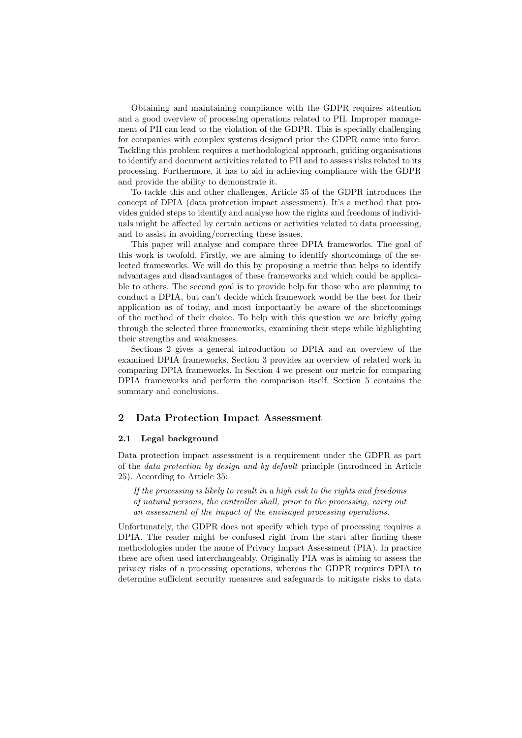Obtaining and maintaining compliance with the GDPR requires attention and a good overview of processing operations related to PII. Improper management of PII can lead to the violation of the GDPR. This is specially challenging for companies with complex systems designed prior the GDPR came into force. Tackling this problem requires a methodological approach, guiding organisations to identify and document activities related to PII and to assess risks related to its processing. Furthermore, it has to aid in achieving compliance with the GDPR and provide the ability to demonstrate it.

To tackle this and other challenges, Article 35 of the GDPR introduces the concept of DPIA (data protection impact assessment). It's a method that provides guided steps to identify and analyse how the rights and freedoms of individuals might be affected by certain actions or activities related to data processing, and to assist in avoiding/correcting these issues.

This paper will analyse and compare three DPIA frameworks. The goal of this work is twofold. Firstly, we are aiming to identify shortcomings of the selected frameworks. We will do this by proposing a metric that helps to identify advantages and disadvantages of these frameworks and which could be applicable to others. The second goal is to provide help for those who are planning to conduct a DPIA, but can't decide which framework would be the best for their application as of today, and most importantly be aware of the shortcomings of the method of their choice. To help with this question we are briefly going through the selected three frameworks, examining their steps while highlighting their strengths and weaknesses.

Sections 2 gives a general introduction to DPIA and an overview of the examined DPIA frameworks. Section 3 provides an overview of related work in comparing DPIA frameworks. In Section 4 we present our metric for comparing DPIA frameworks and perform the comparison itself. Section 5 contains the summary and conclusions.

## 2 Data Protection Impact Assessment

#### 2.1 Legal background

Data protection impact assessment is a requirement under the GDPR as part of the data protection by design and by default principle (introduced in Article 25). According to Article 35:

If the processing is likely to result in a high risk to the rights and freedoms of natural persons, the controller shall, prior to the processing, carry out an assessment of the impact of the envisaged processing operations.

Unfortunately, the GDPR does not specify which type of processing requires a DPIA. The reader might be confused right from the start after finding these methodologies under the name of Privacy Impact Assessment (PIA). In practice these are often used interchangeably. Originally PIA was is aiming to assess the privacy risks of a processing operations, whereas the GDPR requires DPIA to determine sufficient security measures and safeguards to mitigate risks to data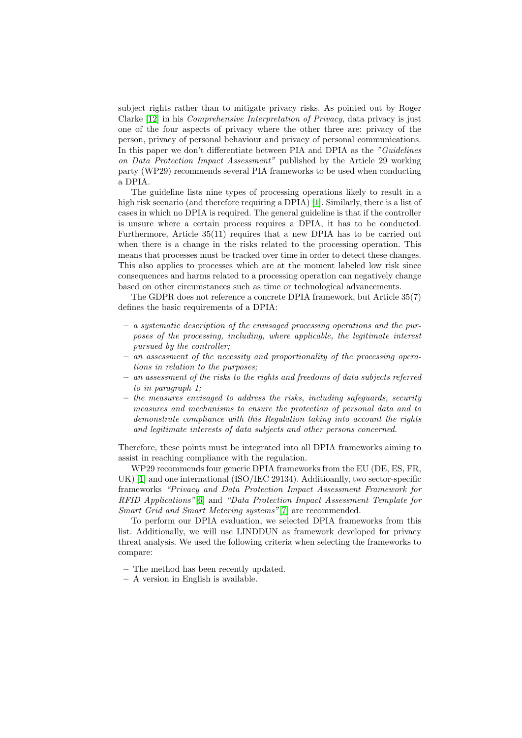subject rights rather than to mitigate privacy risks. As pointed out by Roger Clarke [\[12\]](#page-16-1) in his Comprehensive Interpretation of Privacy, data privacy is just one of the four aspects of privacy where the other three are: privacy of the person, privacy of personal behaviour and privacy of personal communications. In this paper we don't differentiate between PIA and DPIA as the "Guidelines" on Data Protection Impact Assessment" published by the Article 29 working party (WP29) recommends several PIA frameworks to be used when conducting a DPIA.

The guideline lists nine types of processing operations likely to result in a high risk scenario (and therefore requiring a DPIA) [\[1\]](#page-15-2). Similarly, there is a list of cases in which no DPIA is required. The general guideline is that if the controller is unsure where a certain process requires a DPIA, it has to be conducted. Furthermore, Article 35(11) requires that a new DPIA has to be carried out when there is a change in the risks related to the processing operation. This means that processes must be tracked over time in order to detect these changes. This also applies to processes which are at the moment labeled low risk since consequences and harms related to a processing operation can negatively change based on other circumstances such as time or technological advancements.

The GDPR does not reference a concrete DPIA framework, but Article 35(7) defines the basic requirements of a DPIA:

- a systematic description of the envisaged processing operations and the purposes of the processing, including, where applicable, the legitimate interest pursued by the controller;
- an assessment of the necessity and proportionality of the processing operations in relation to the purposes;
- an assessment of the risks to the rights and freedoms of data subjects referred to in paragraph 1;
- the measures envisaged to address the risks, including safeguards, security measures and mechanisms to ensure the protection of personal data and to demonstrate compliance with this Regulation taking into account the rights and legitimate interests of data subjects and other persons concerned.

Therefore, these points must be integrated into all DPIA frameworks aiming to assist in reaching compliance with the regulation.

WP29 recommends four generic DPIA frameworks from the EU (DE, ES, FR, UK) [\[1\]](#page-15-2) and one international (ISO/IEC 29134). Additioanlly, two sector-specific frameworks "Privacy and Data Protection Impact Assessment Framework for RFID Applications"[\[6\]](#page-15-3) and "Data Protection Impact Assessment Template for Smart Grid and Smart Metering systems"[\[7\]](#page-15-4) are recommended.

To perform our DPIA evaluation, we selected DPIA frameworks from this list. Additionally, we will use LINDDUN as framework developed for privacy threat analysis. We used the following criteria when selecting the frameworks to compare:

- The method has been recently updated.
- A version in English is available.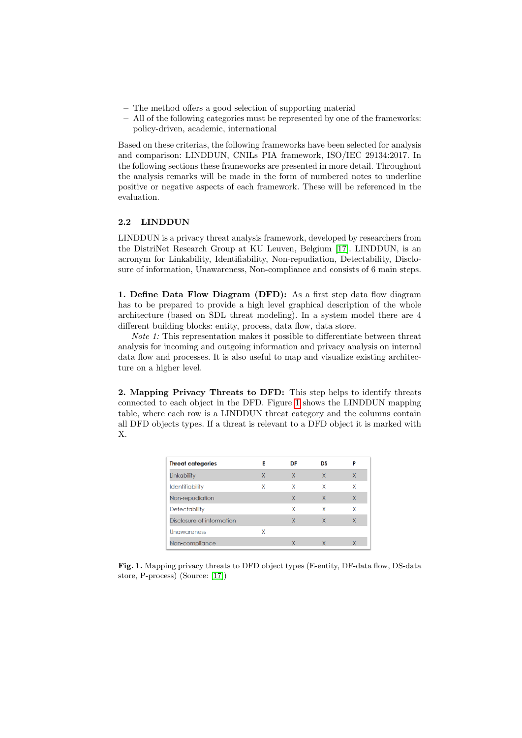- The method offers a good selection of supporting material
- All of the following categories must be represented by one of the frameworks: policy-driven, academic, international

Based on these criterias, the following frameworks have been selected for analysis and comparison: LINDDUN, CNILs PIA framework, ISO/IEC 29134:2017. In the following sections these frameworks are presented in more detail. Throughout the analysis remarks will be made in the form of numbered notes to underline positive or negative aspects of each framework. These will be referenced in the evaluation.

## 2.2 LINDDUN

LINDDUN is a privacy threat analysis framework, developed by researchers from the DistriNet Research Group at KU Leuven, Belgium [\[17\]](#page-16-2). LINDDUN, is an acronym for Linkability, Identifiability, Non-repudiation, Detectability, Disclosure of information, Unawareness, Non-compliance and consists of 6 main steps.

1. Define Data Flow Diagram (DFD): As a first step data flow diagram has to be prepared to provide a high level graphical description of the whole architecture (based on SDL threat modeling). In a system model there are 4 different building blocks: entity, process, data flow, data store.

Note 1: This representation makes it possible to differentiate between threat analysis for incoming and outgoing information and privacy analysis on internal data flow and processes. It is also useful to map and visualize existing architecture on a higher level.

2. Mapping Privacy Threats to DFD: This step helps to identify threats connected to each object in the DFD. Figure [1](#page-4-0) shows the LINDDUN mapping table, where each row is a LINDDUN threat category and the columns contain all DFD objects types. If a threat is relevant to a DFD object it is marked with X.

| <b>Threat categories</b>  | Е | DF | DS |              |
|---------------------------|---|----|----|--------------|
| Linkability               | X | X  | Χ  | X            |
| <b>Identifiability</b>    | Χ | Χ  | Χ  | Χ            |
| Non-repudiation           |   | X  | X  | $\mathsf{X}$ |
| <b>Detectability</b>      |   | Χ  | Χ  | χ            |
| Disclosure of information |   | X  | X  | X            |
| <b>Unawareness</b>        | x |    |    |              |
| Non-compliance            |   |    | X  |              |

<span id="page-4-0"></span>Fig. 1. Mapping privacy threats to DFD object types (E-entity, DF-data flow, DS-data store, P-process) (Source: [\[17\]](#page-16-2))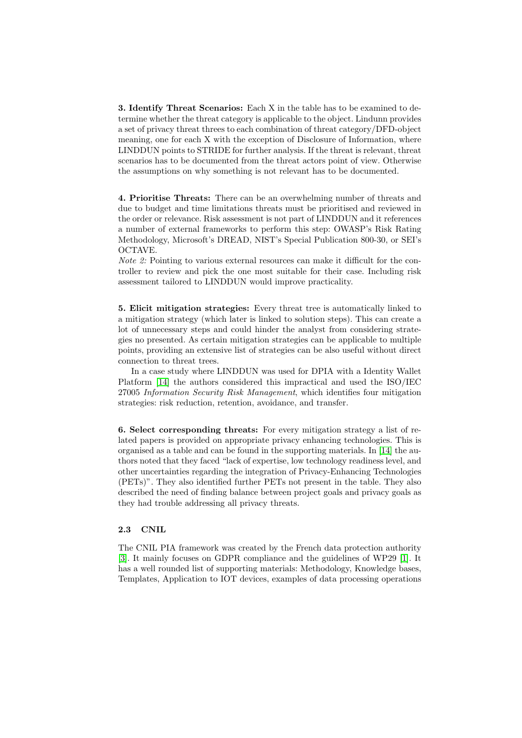3. Identify Threat Scenarios: Each X in the table has to be examined to determine whether the threat category is applicable to the object. Lindunn provides a set of privacy threat threes to each combination of threat category/DFD-object meaning, one for each X with the exception of Disclosure of Information, where LINDDUN points to STRIDE for further analysis. If the threat is relevant, threat scenarios has to be documented from the threat actors point of view. Otherwise the assumptions on why something is not relevant has to be documented.

4. Prioritise Threats: There can be an overwhelming number of threats and due to budget and time limitations threats must be prioritised and reviewed in the order or relevance. Risk assessment is not part of LINDDUN and it references a number of external frameworks to perform this step: OWASP's Risk Rating Methodology, Microsoft's DREAD, NIST's Special Publication 800-30, or SEI's OCTAVE.

Note 2: Pointing to various external resources can make it difficult for the controller to review and pick the one most suitable for their case. Including risk assessment tailored to LINDDUN would improve practicality.

5. Elicit mitigation strategies: Every threat tree is automatically linked to a mitigation strategy (which later is linked to solution steps). This can create a lot of unnecessary steps and could hinder the analyst from considering strategies no presented. As certain mitigation strategies can be applicable to multiple points, providing an extensive list of strategies can be also useful without direct connection to threat trees.

In a case study where LINDDUN was used for DPIA with a Identity Wallet Platform [\[14\]](#page-16-3) the authors considered this impractical and used the ISO/IEC 27005 Information Security Risk Management, which identifies four mitigation strategies: risk reduction, retention, avoidance, and transfer.

6. Select corresponding threats: For every mitigation strategy a list of related papers is provided on appropriate privacy enhancing technologies. This is organised as a table and can be found in the supporting materials. In [\[14\]](#page-16-3) the authors noted that they faced "lack of expertise, low technology readiness level, and other uncertainties regarding the integration of Privacy-Enhancing Technologies (PETs)". They also identified further PETs not present in the table. They also described the need of finding balance between project goals and privacy goals as they had trouble addressing all privacy threats.

## 2.3 CNIL

The CNIL PIA framework was created by the French data protection authority [\[3\]](#page-15-5). It mainly focuses on GDPR compliance and the guidelines of WP29 [\[1\]](#page-15-2). It has a well rounded list of supporting materials: Methodology, Knowledge bases, Templates, Application to IOT devices, examples of data processing operations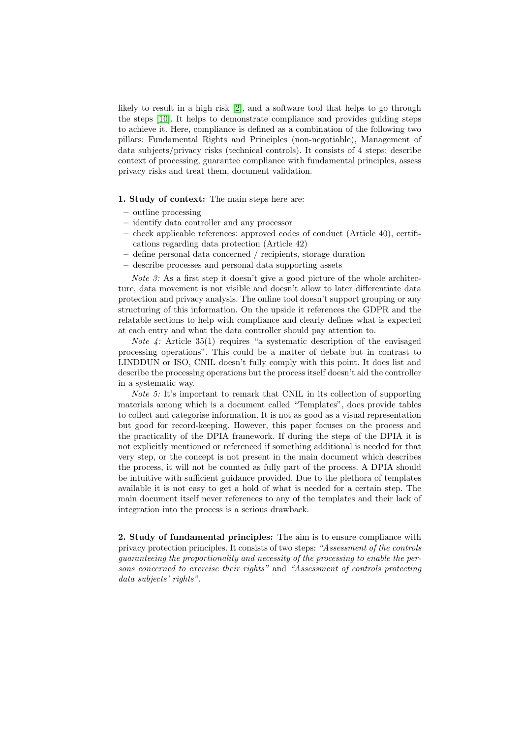likely to result in a high risk [\[2\]](#page-15-6), and a software tool that helps to go through the steps [\[10\]](#page-15-7). It helps to demonstrate compliance and provides guiding steps to achieve it. Here, compliance is defined as a combination of the following two pillars: Fundamental Rights and Principles (non-negotiable), Management of data subjects/privacy risks (technical controls). It consists of 4 steps: describe context of processing, guarantee compliance with fundamental principles, assess privacy risks and treat them, document validation.

#### 1. Study of context: The main steps here are:

- outline processing
- identify data controller and any processor
- check applicable references: approved codes of conduct (Article 40), certifications regarding data protection (Article 42)
- define personal data concerned / recipients, storage duration
- describe processes and personal data supporting assets

Note 3: As a first step it doesn't give a good picture of the whole architecture, data movement is not visible and doesn't allow to later differentiate data protection and privacy analysis. The online tool doesn't support grouping or any structuring of this information. On the upside it references the GDPR and the relatable sections to help with compliance and clearly defines what is expected at each entry and what the data controller should pay attention to.

*Note 4:* Article 35(1) requires "a systematic description of the envisaged processing operations". This could be a matter of debate but in contrast to LINDDUN or ISO, CNIL doesn't fully comply with this point. It does list and describe the processing operations but the process itself doesn't aid the controller in a systematic way.

Note 5: It's important to remark that CNIL in its collection of supporting materials among which is a document called "Templates", does provide tables to collect and categorise information. It is not as good as a visual representation but good for record-keeping. However, this paper focuses on the process and the practicality of the DPIA framework. If during the steps of the DPIA it is not explicitly mentioned or referenced if something additional is needed for that very step, or the concept is not present in the main document which describes the process, it will not be counted as fully part of the process. A DPIA should be intuitive with sufficient guidance provided. Due to the plethora of templates available it is not easy to get a hold of what is needed for a certain step. The main document itself never references to any of the templates and their lack of integration into the process is a serious drawback.

2. Study of fundamental principles: The aim is to ensure compliance with privacy protection principles. It consists of two steps: "Assessment of the controls guaranteeing the proportionality and necessity of the processing to enable the persons concerned to exercise their rights" and "Assessment of controls protecting data subjects' rights".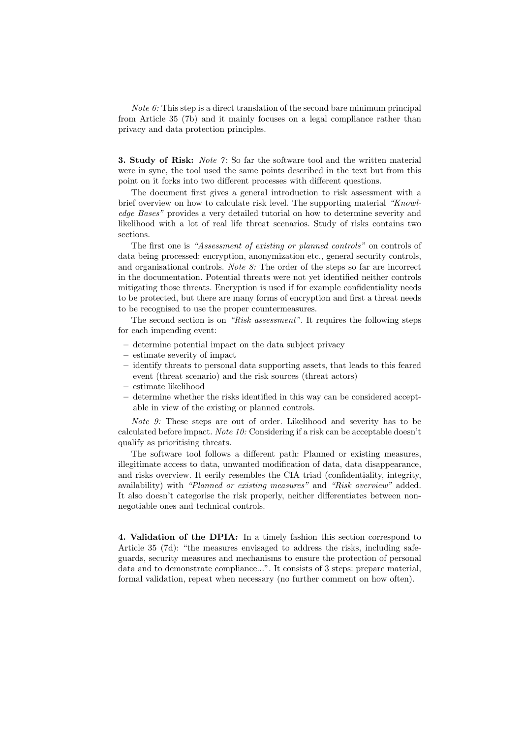Note 6: This step is a direct translation of the second bare minimum principal from Article 35 (7b) and it mainly focuses on a legal compliance rather than privacy and data protection principles.

**3. Study of Risk:** Note 7: So far the software tool and the written material were in sync, the tool used the same points described in the text but from this point on it forks into two different processes with different questions.

The document first gives a general introduction to risk assessment with a brief overview on how to calculate risk level. The supporting material "Knowledge Bases" provides a very detailed tutorial on how to determine severity and likelihood with a lot of real life threat scenarios. Study of risks contains two sections.

The first one is "Assessment of existing or planned controls" on controls of data being processed: encryption, anonymization etc., general security controls, and organisational controls. Note 8: The order of the steps so far are incorrect in the documentation. Potential threats were not yet identified neither controls mitigating those threats. Encryption is used if for example confidentiality needs to be protected, but there are many forms of encryption and first a threat needs to be recognised to use the proper countermeasures.

The second section is on "Risk assessment". It requires the following steps for each impending event:

- determine potential impact on the data subject privacy
- estimate severity of impact
- identify threats to personal data supporting assets, that leads to this feared event (threat scenario) and the risk sources (threat actors)
- estimate likelihood
- determine whether the risks identified in this way can be considered acceptable in view of the existing or planned controls.

Note 9: These steps are out of order. Likelihood and severity has to be calculated before impact. Note 10: Considering if a risk can be acceptable doesn't qualify as prioritising threats.

The software tool follows a different path: Planned or existing measures, illegitimate access to data, unwanted modification of data, data disappearance, and risks overview. It eerily resembles the CIA triad (confidentiality, integrity, availability) with "Planned or existing measures" and "Risk overview" added. It also doesn't categorise the risk properly, neither differentiates between nonnegotiable ones and technical controls.

4. Validation of the DPIA: In a timely fashion this section correspond to Article 35 (7d): "the measures envisaged to address the risks, including safeguards, security measures and mechanisms to ensure the protection of personal data and to demonstrate compliance...". It consists of 3 steps: prepare material, formal validation, repeat when necessary (no further comment on how often).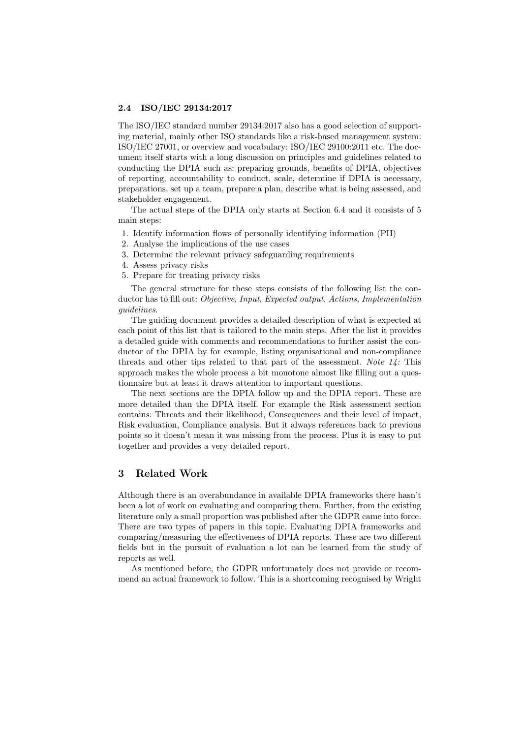## 2.4 ISO/IEC 29134:2017

The ISO/IEC standard number 29134:2017 also has a good selection of supporting material, mainly other ISO standards like a risk-based management system: ISO/IEC 27001, or overview and vocabulary: ISO/IEC 29100:2011 etc. The document itself starts with a long discussion on principles and guidelines related to conducting the DPIA such as: preparing grounds, benefits of DPIA, objectives of reporting, accountability to conduct, scale, determine if DPIA is necessary, preparations, set up a team, prepare a plan, describe what is being assessed, and stakeholder engagement.

The actual steps of the DPIA only starts at Section 6.4 and it consists of 5 main steps:

- 1. Identify information flows of personally identifying information (PII)
- 2. Analyse the implications of the use cases
- 3. Determine the relevant privacy safeguarding requirements
- 4. Assess privacy risks
- 5. Prepare for treating privacy risks

The general structure for these steps consists of the following list the conductor has to fill out: Objective, Input, Expected output, Actions, Implementation guidelines.

The guiding document provides a detailed description of what is expected at each point of this list that is tailored to the main steps. After the list it provides a detailed guide with comments and recommendations to further assist the conductor of the DPIA by for example, listing organisational and non-compliance threats and other tips related to that part of the assessment. Note  $14$ : This approach makes the whole process a bit monotone almost like filling out a questionnaire but at least it draws attention to important questions.

The next sections are the DPIA follow up and the DPIA report. These are more detailed than the DPIA itself. For example the Risk assessment section contains: Threats and their likelihood, Consequences and their level of impact, Risk evaluation, Compliance analysis. But it always references back to previous points so it doesn't mean it was missing from the process. Plus it is easy to put together and provides a very detailed report.

# 3 Related Work

Although there is an overabundance in available DPIA frameworks there hasn't been a lot of work on evaluating and comparing them. Further, from the existing literature only a small proportion was published after the GDPR came into force. There are two types of papers in this topic. Evaluating DPIA frameworks and comparing/measuring the effectiveness of DPIA reports. These are two different fields but in the pursuit of evaluation a lot can be learned from the study of reports as well.

As mentioned before, the GDPR unfortunately does not provide or recommend an actual framework to follow. This is a shortcoming recognised by Wright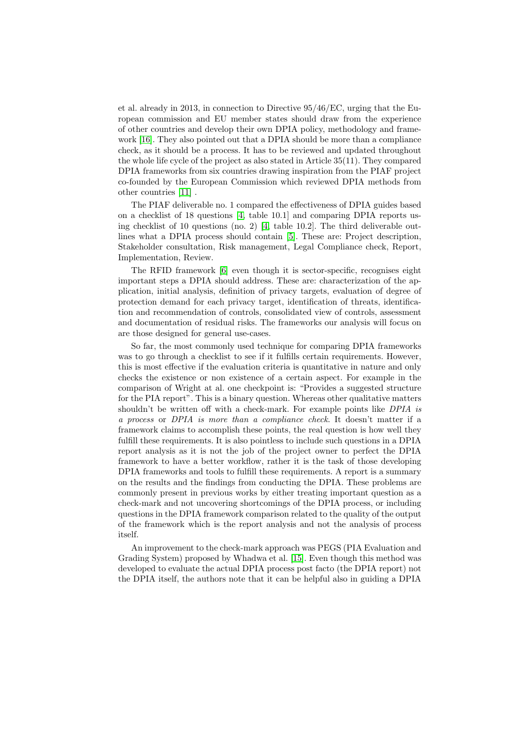et al. already in 2013, in connection to Directive 95/46/EC, urging that the European commission and EU member states should draw from the experience of other countries and develop their own DPIA policy, methodology and framework [\[16\]](#page-16-4). They also pointed out that a DPIA should be more than a compliance check, as it should be a process. It has to be reviewed and updated throughout the whole life cycle of the project as also stated in Article 35(11). They compared DPIA frameworks from six countries drawing inspiration from the PIAF project co-founded by the European Commission which reviewed DPIA methods from other countries [\[11\]](#page-16-5) .

The PIAF deliverable no. 1 compared the effectiveness of DPIA guides based on a checklist of 18 questions [\[4,](#page-15-8) table 10.1] and comparing DPIA reports us-ing checklist of 10 questions (no. 2) [\[4,](#page-15-8) table 10.2]. The third deliverable outlines what a DPIA process should contain [\[5\]](#page-15-9). These are: Project description, Stakeholder consultation, Risk management, Legal Compliance check, Report, Implementation, Review.

The RFID framework [\[6\]](#page-15-3) even though it is sector-specific, recognises eight important steps a DPIA should address. These are: characterization of the application, initial analysis, definition of privacy targets, evaluation of degree of protection demand for each privacy target, identification of threats, identification and recommendation of controls, consolidated view of controls, assessment and documentation of residual risks. The frameworks our analysis will focus on are those designed for general use-cases.

So far, the most commonly used technique for comparing DPIA frameworks was to go through a checklist to see if it fulfills certain requirements. However, this is most effective if the evaluation criteria is quantitative in nature and only checks the existence or non existence of a certain aspect. For example in the comparison of Wright at al. one checkpoint is: "Provides a suggested structure for the PIA report". This is a binary question. Whereas other qualitative matters shouldn't be written off with a check-mark. For example points like DPIA is a process or DPIA is more than a compliance check. It doesn't matter if a framework claims to accomplish these points, the real question is how well they fulfill these requirements. It is also pointless to include such questions in a DPIA report analysis as it is not the job of the project owner to perfect the DPIA framework to have a better workflow, rather it is the task of those developing DPIA frameworks and tools to fulfill these requirements. A report is a summary on the results and the findings from conducting the DPIA. These problems are commonly present in previous works by either treating important question as a check-mark and not uncovering shortcomings of the DPIA process, or including questions in the DPIA framework comparison related to the quality of the output of the framework which is the report analysis and not the analysis of process itself.

An improvement to the check-mark approach was PEGS (PIA Evaluation and Grading System) proposed by Whadwa et al. [\[15\]](#page-16-6). Even though this method was developed to evaluate the actual DPIA process post facto (the DPIA report) not the DPIA itself, the authors note that it can be helpful also in guiding a DPIA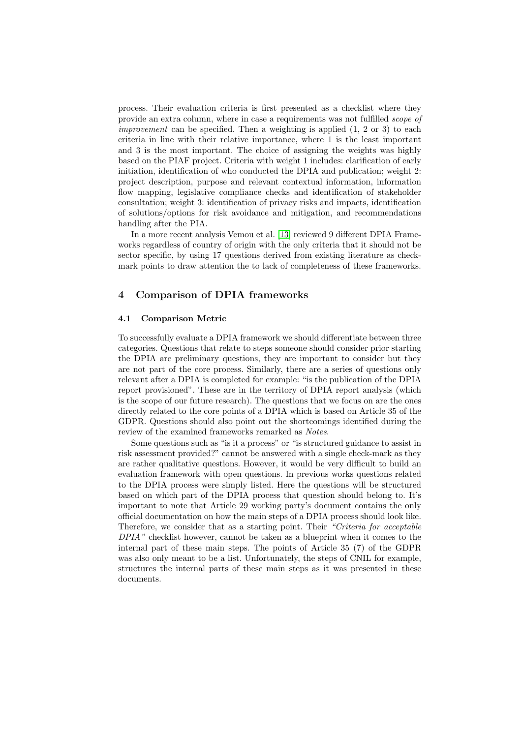process. Their evaluation criteria is first presented as a checklist where they provide an extra column, where in case a requirements was not fulfilled scope of *improvement* can be specified. Then a weighting is applied  $(1, 2 \text{ or } 3)$  to each criteria in line with their relative importance, where 1 is the least important and 3 is the most important. The choice of assigning the weights was highly based on the PIAF project. Criteria with weight 1 includes: clarification of early initiation, identification of who conducted the DPIA and publication; weight 2: project description, purpose and relevant contextual information, information flow mapping, legislative compliance checks and identification of stakeholder consultation; weight 3: identification of privacy risks and impacts, identification of solutions/options for risk avoidance and mitigation, and recommendations handling after the PIA.

In a more recent analysis Vemou et al. [\[13\]](#page-16-7) reviewed 9 different DPIA Frameworks regardless of country of origin with the only criteria that it should not be sector specific, by using 17 questions derived from existing literature as checkmark points to draw attention the to lack of completeness of these frameworks.

## 4 Comparison of DPIA frameworks

#### 4.1 Comparison Metric

To successfully evaluate a DPIA framework we should differentiate between three categories. Questions that relate to steps someone should consider prior starting the DPIA are preliminary questions, they are important to consider but they are not part of the core process. Similarly, there are a series of questions only relevant after a DPIA is completed for example: "is the publication of the DPIA report provisioned". These are in the territory of DPIA report analysis (which is the scope of our future research). The questions that we focus on are the ones directly related to the core points of a DPIA which is based on Article 35 of the GDPR. Questions should also point out the shortcomings identified during the review of the examined frameworks remarked as Notes.

Some questions such as "is it a process" or "is structured guidance to assist in risk assessment provided?" cannot be answered with a single check-mark as they are rather qualitative questions. However, it would be very difficult to build an evaluation framework with open questions. In previous works questions related to the DPIA process were simply listed. Here the questions will be structured based on which part of the DPIA process that question should belong to. It's important to note that Article 29 working party's document contains the only official documentation on how the main steps of a DPIA process should look like. Therefore, we consider that as a starting point. Their "Criteria for acceptable DPIA" checklist however, cannot be taken as a blueprint when it comes to the internal part of these main steps. The points of Article 35 (7) of the GDPR was also only meant to be a list. Unfortunately, the steps of CNIL for example, structures the internal parts of these main steps as it was presented in these documents.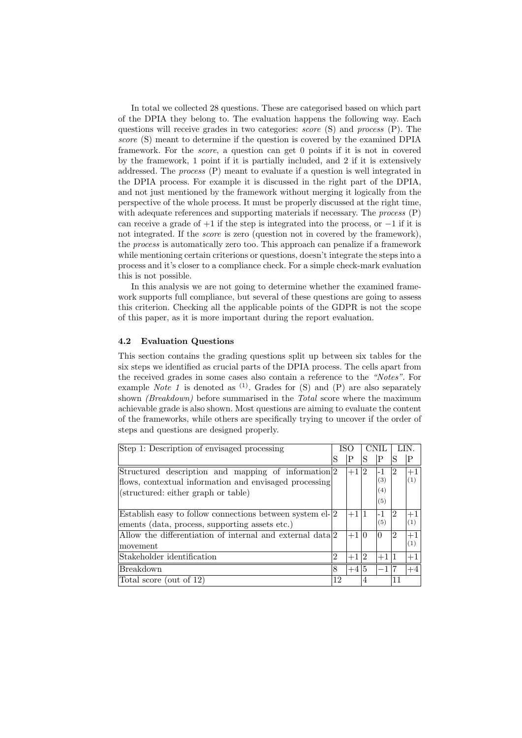In total we collected 28 questions. These are categorised based on which part of the DPIA they belong to. The evaluation happens the following way. Each questions will receive grades in two categories: score (S) and process (P). The score (S) meant to determine if the question is covered by the examined DPIA framework. For the score, a question can get 0 points if it is not in covered by the framework, 1 point if it is partially included, and 2 if it is extensively addressed. The process (P) meant to evaluate if a question is well integrated in the DPIA process. For example it is discussed in the right part of the DPIA, and not just mentioned by the framework without merging it logically from the perspective of the whole process. It must be properly discussed at the right time, with adequate references and supporting materials if necessary. The *process* (P) can receive a grade of  $+1$  if the step is integrated into the process, or  $-1$  if it is not integrated. If the *score* is zero (question not in covered by the framework), the process is automatically zero too. This approach can penalize if a framework while mentioning certain criterions or questions, doesn't integrate the steps into a process and it's closer to a compliance check. For a simple check-mark evaluation this is not possible.

In this analysis we are not going to determine whether the examined framework supports full compliance, but several of these questions are going to assess this criterion. Checking all the applicable points of the GDPR is not the scope of this paper, as it is more important during the report evaluation.

## 4.2 Evaluation Questions

This section contains the grading questions split up between six tables for the six steps we identified as crucial parts of the DPIA process. The cells apart from the received grades in some cases also contain a reference to the "Notes". For example Note 1 is denoted as  $(1)$ . Grades for  $(S)$  and  $(P)$  are also separately shown *(Breakdown)* before summarised in the *Total* score where the maximum achievable grade is also shown. Most questions are aiming to evaluate the content of the frameworks, while others are specifically trying to uncover if the order of steps and questions are designed properly.

| Step 1: Description of envisaged processing                                                                                                          |                | ISC    |    |                         |                |             |
|------------------------------------------------------------------------------------------------------------------------------------------------------|----------------|--------|----|-------------------------|----------------|-------------|
|                                                                                                                                                      | S              | Ρ      | S  | ΙP                      | S              | Ρ           |
| Structured description and mapping of information 2<br>flows, contextual information and envisaged processing<br>(structured: either graph or table) |                | $+1 2$ |    | -1<br>(3)<br>(4)<br>(5) | $ 2\rangle$    | $+1$<br>(1) |
| Establish easy to follow connections between system $el-2$<br>ements (data, process, supporting assets etc.)                                         |                | $+1 1$ |    | -1<br>(5)               | $^{9}2$        | $+1$<br>(1) |
| Allow the differentiation of internal and external data 2<br> movement                                                                               |                | $+1 0$ |    | 10                      | $\overline{2}$ | (1)         |
| Stakeholder identification                                                                                                                           | $\overline{2}$ | $+1$   | 12 | $+1 1$                  |                | $+1$        |
| <b>Breakdown</b>                                                                                                                                     | 8              | $+4$   | 15 | —1   7                  |                | $+4$        |
| Total score (out of 12)                                                                                                                              | 12             |        |    |                         |                |             |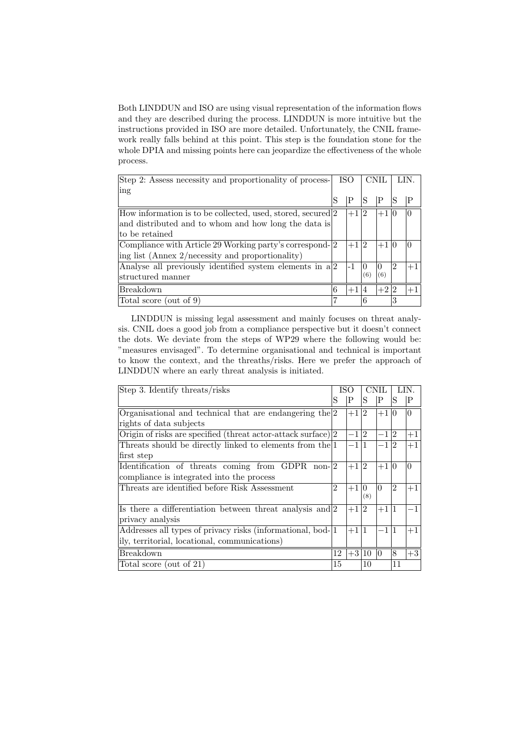Both LINDDUN and ISO are using visual representation of the information flows and they are described during the process. LINDDUN is more intuitive but the instructions provided in ISO are more detailed. Unfortunately, the CNIL framework really falls behind at this point. This step is the foundation stone for the whole DPIA and missing points here can jeopardize the effectiveness of the whole process.

| Step 2: Assess necessity and proportionality of process-    | ISO |        |             | CNII        |    | LIN. |
|-------------------------------------------------------------|-----|--------|-------------|-------------|----|------|
| ing                                                         |     |        |             |             |    |      |
|                                                             |     | Ρ      | S           | P           |    |      |
| How information is to be collected, used, stored, secured 2 |     | $+112$ |             | $+1$        |    |      |
| and distributed and to whom and how long the data is        |     |        |             |             |    |      |
| to be retained                                              |     |        |             |             |    |      |
| Compliance with Article 29 Working party's correspond-2     |     | $+1$   | $ 2\rangle$ | $+1$        | 10 |      |
| ing list (Annex 2/necessity and proportionality)            |     |        |             |             |    |      |
| Analyse all previously identified system elements in $a 2$  |     | $-1$   |             |             | 12 | $+1$ |
| structured manner                                           |     |        | (6)         | $6^{\circ}$ |    |      |
| <b>Breakdown</b>                                            | 6   | $+1$   | 4           | $+2 2$      |    | $+1$ |
| Total score (out of 9)                                      | ,   |        |             |             | 3  |      |

LINDDUN is missing legal assessment and mainly focuses on threat analysis. CNIL does a good job from a compliance perspective but it doesn't connect the dots. We deviate from the steps of WP29 where the following would be: "measures envisaged". To determine organisational and technical is important to know the context, and the threaths/risks. Here we prefer the approach of LINDDUN where an early threat analysis is initiated.

| Step 3. Identify threats/risks                                    |                | ISO     |                | CNIL            |                | LIN.               |
|-------------------------------------------------------------------|----------------|---------|----------------|-----------------|----------------|--------------------|
|                                                                   | S              | P       | S              | P               | S              | $\mathsf{P}% _{T}$ |
| Organisational and technical that are endangering the $ 2$        |                | $+1$    | $\mathcal{D}$  | $+110$          |                | $\overline{0}$     |
| rights of data subjects                                           |                |         |                |                 |                |                    |
| Origin of risks are specified (threat actor-attack surface) $ 2 $ |                | $-1 2$  |                | $-1 2$          |                | $+1$               |
| Threats should be directly linked to elements from the $ 1 $      |                | $-1$    |                | $-1 2$          |                | $+1$               |
| first step                                                        |                |         |                |                 |                |                    |
| Identification of threats coming from GDPR non- $ 2$              |                | $+1$    | $\overline{2}$ | $+1$            | lO             | $\overline{0}$     |
| compliance is integrated into the process                         |                |         |                |                 |                |                    |
| Threats are identified before Risk Assessment                     | $\mathfrak{D}$ | $+1$    | $\Omega$       | $\Omega$        | $\overline{2}$ | $+1$               |
|                                                                   |                |         | (8)            |                 |                |                    |
| Is there a differentiation between threat analysis and $ 2 $      |                | $+1$    | 2              | $+1 1$          |                | $-1$               |
| privacy analysis                                                  |                |         |                |                 |                |                    |
| Addresses all types of privacy risks (informational, bod-11)      |                | $+1$    |                | $-1$            | $\vert$ 1      | $+1$               |
| ily, territorial, locational, communications)                     |                |         |                |                 |                |                    |
| <b>Breakdown</b>                                                  | 12             | $+3 10$ |                | $\vert 0 \vert$ | $\overline{8}$ | $+3$               |
| Total score (out of 21)                                           | 15             |         | 10             |                 | 11             |                    |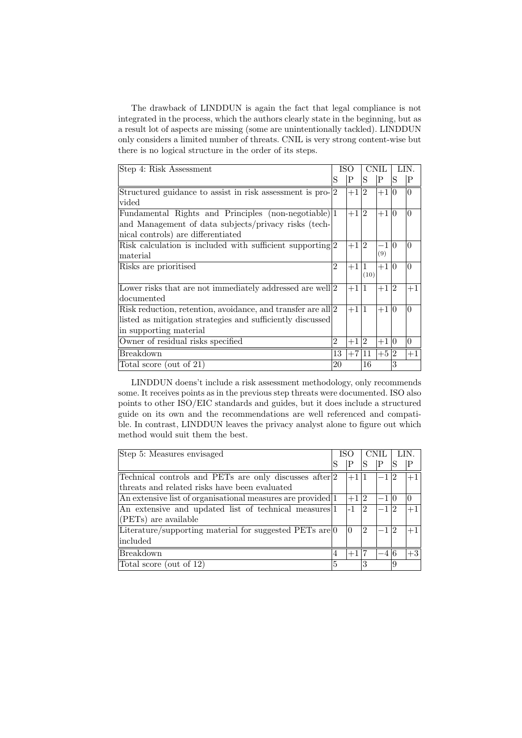The drawback of LINDDUN is again the fact that legal compliance is not integrated in the process, which the authors clearly state in the beginning, but as a result lot of aspects are missing (some are unintentionally tackled). LINDDUN only considers a limited number of threats. CNIL is very strong content-wise but there is no logical structure in the order of its steps.

| Step 4: Risk Assessment                                         |                | ISO    |                | <b>CNIL</b>      |   | LIN      |
|-----------------------------------------------------------------|----------------|--------|----------------|------------------|---|----------|
|                                                                 | S              | P      | S              | P                | S | P        |
| Structured guidance to assist in risk assessment is pro- $ 2$   |                | $+1 2$ |                | $+1\overline{0}$ |   | $\Omega$ |
| vided                                                           |                |        |                |                  |   |          |
| Fundamental Rights and Principles (non-negotiable) 1            |                | $+1 2$ |                | $+1 0$           |   | $\Omega$ |
| and Management of data subjects/privacy risks (tech-            |                |        |                |                  |   |          |
| nical controls) are differentiated                              |                |        |                |                  |   |          |
| Risk calculation is included with sufficient supporting $ 2 $   |                | $+1 2$ |                | $-1 0$           |   | $\Omega$ |
| material                                                        |                |        |                | (9)              |   |          |
| Risks are prioritised                                           | 2              | $+1$   | 11             | $+1 0$           |   | $\theta$ |
|                                                                 |                |        | (10)           |                  |   |          |
| Lower risks that are not immediately addressed are well $ 2$    |                | $+1 1$ |                | $+1 2$           |   | $+1$     |
| documented                                                      |                |        |                |                  |   |          |
| Risk reduction, retention, avoidance, and transfer are all $ 2$ |                | $+1 1$ |                | $+1 0$           |   | $\theta$ |
| listed as mitigation strategies and sufficiently discussed      |                |        |                |                  |   |          |
| in supporting material                                          |                |        |                |                  |   |          |
| Owner of residual risks specified                               | $\overline{2}$ | $+1$   | $\overline{2}$ | $+110$           |   | $\theta$ |
| Breakdown                                                       | 13             | $+7$   | 11             | $+5\sqrt{2}$     |   | $+1$     |
| Total score (out of 21)                                         | 20             |        | 16             |                  | 3 |          |

LINDDUN doens't include a risk assessment methodology, only recommends some. It receives points as in the previous step threats were documented. ISO also points to other ISO/EIC standards and guides, but it does include a structured guide on its own and the recommendations are well referenced and compatible. In contrast, LINDDUN leaves the privacy analyst alone to figure out which method would suit them the best.

| Step 5: Measures envisaged                                        | ISC |        | <b>CNIL</b> |        |    |      |
|-------------------------------------------------------------------|-----|--------|-------------|--------|----|------|
|                                                                   | S   | Ρ      |             |        |    |      |
| Technical controls and PETs are only discusses after 2            |     | $+1 1$ |             | $-1 2$ |    | $+1$ |
| threats and related risks have been evaluated                     |     |        |             |        |    |      |
| An extensive list of organisational measures are provided 1       |     | $+1/2$ |             | $-1 0$ |    |      |
| An extensive and updated list of technical measures 1             |     | $-1$   | 2           | $-1 2$ |    | $+1$ |
| $(PETs)$ are available                                            |     |        |             |        |    |      |
| Literature/supporting material for suggested PETs are $ 0\rangle$ |     | 0      | 2           | $-1 2$ |    | $+1$ |
| $\ln$ cluded                                                      |     |        |             |        |    |      |
| <b>Breakdown</b>                                                  | 4   | $+1$   |             | -4 6   |    | $+3$ |
| Total score (out of 12)                                           | 5   |        |             |        | 19 |      |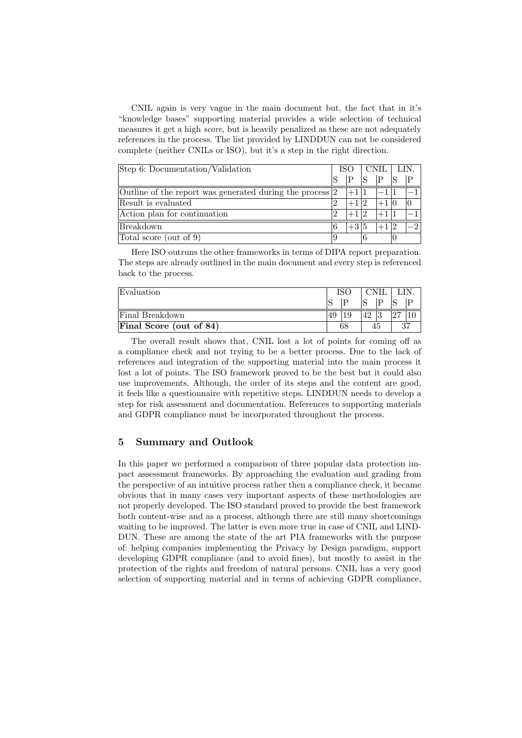CNIL again is very vague in the main document but, the fact that in it's "knowledge bases" supporting material provides a wide selection of technical measures it get a high score, but is heavily penalized as these are not adequately references in the process. The list provided by LINDDUN can not be considered complete (neither CNILs or ISO), but it's a step in the right direction.

| Step 6: Documentation/Validation                             | ISO            |        | CNIL. |  | LIN. |  |
|--------------------------------------------------------------|----------------|--------|-------|--|------|--|
|                                                              |                |        |       |  |      |  |
| Outline of the report was generated during the process $ 2 $ |                |        |       |  |      |  |
| Result is evaluated                                          | $\overline{2}$ | $+112$ |       |  |      |  |
| Action plan for continuation                                 | $\overline{2}$ | $+112$ |       |  |      |  |
| <b>Breakdown</b>                                             |                | $+315$ |       |  |      |  |
| Total score (out of 9)                                       |                |        |       |  |      |  |

Here ISO outruns the other frameworks in terms of DIPA report preparation. The steps are already outlined in the main document and every step is referenced back to the process.

| Evaluation              |    |          | 'NH |   |   |          |
|-------------------------|----|----------|-----|---|---|----------|
|                         |    | $\Gamma$ |     | D |   |          |
| Final Breakdown         | 49 |          |     | ച | ി |          |
| Final Score (out of 84) | 68 |          | 45  |   |   | $\Omega$ |

The overall result shows that, CNIL lost a lot of points for coming off as a compliance check and not trying to be a better process. Due to the lack of references and integration of the supporting material into the main process it lost a lot of points. The ISO framework proved to be the best but it could also use improvements. Although, the order of its steps and the content are good, it feels like a questionnaire with repetitive steps. LINDDUN needs to develop a step for risk assessment and documentation. References to supporting materials and GDPR compliance must be incorporated throughout the process.

# 5 Summary and Outlook

In this paper we performed a comparison of three popular data protection impact assessment frameworks. By approaching the evaluation and grading from the perspective of an intuitive process rather then a compliance check, it became obvious that in many cases very important aspects of these methodologies are not properly developed. The ISO standard proved to provide the best framework both content-wise and as a process, although there are still many shortcomings waiting to be improved. The latter is even more true in case of CNIL and LIND-DUN. These are among the state of the art PIA frameworks with the purpose of: helping companies implementing the Privacy by Design paradigm, support developing GDPR compliance (and to avoid fines), but mostly to assist in the protection of the rights and freedom of natural persons. CNIL has a very good selection of supporting material and in terms of achieving GDPR compliance,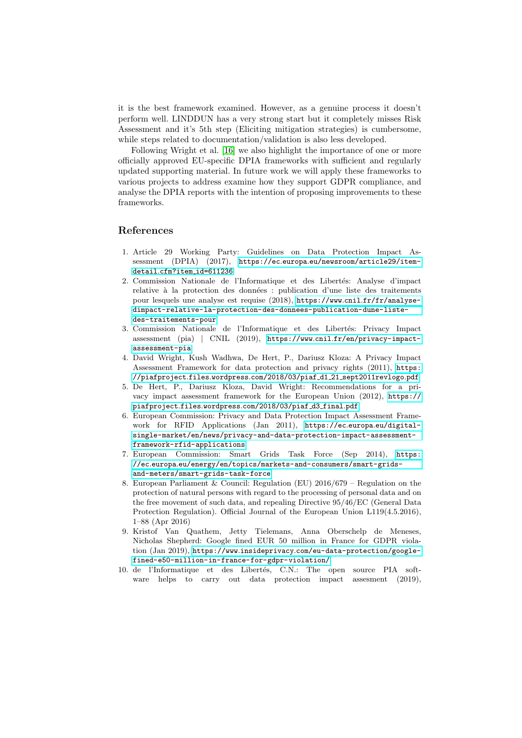it is the best framework examined. However, as a genuine process it doesn't perform well. LINDDUN has a very strong start but it completely misses Risk Assessment and it's 5th step (Eliciting mitigation strategies) is cumbersome, while steps related to documentation/validation is also less developed.

Following Wright et al. [\[16\]](#page-16-4) we also highlight the importance of one or more officially approved EU-specific DPIA frameworks with sufficient and regularly updated supporting material. In future work we will apply these frameworks to various projects to address examine how they support GDPR compliance, and analyse the DPIA reports with the intention of proposing improvements to these frameworks.

# References

- <span id="page-15-2"></span>1. Article 29 Working Party: Guidelines on Data Protection Impact Assessment (DPIA) (2017), https://ec.europa.[eu/newsroom/article29/item](https://ec.europa.eu/newsroom/article29/item-detail.cfm?item_id=611236)detail.cfm?item [id=611236](https://ec.europa.eu/newsroom/article29/item-detail.cfm?item_id=611236)
- <span id="page-15-6"></span>2. Commission Nationale de l'Informatique et des Libertés: Analyse d'impact relative à la protection des données : publication d'une liste des traitements pour lesquels une analyse est requise (2018), https://www.cnil.[fr/fr/analyse](https://www.cnil.fr/fr/analyse-dimpact-relative-la-protection-des-donnees-publication-dune-liste-des-traitements-pour)[dimpact-relative-la-protection-des-donnees-publication-dune-liste](https://www.cnil.fr/fr/analyse-dimpact-relative-la-protection-des-donnees-publication-dune-liste-des-traitements-pour)[des-traitements-pour](https://www.cnil.fr/fr/analyse-dimpact-relative-la-protection-des-donnees-publication-dune-liste-des-traitements-pour)
- <span id="page-15-5"></span>3. Commission Nationale de l'Informatique et des Libertés: Privacy Impact assessment (pia) | CNIL (2019), https://www.cnil.[fr/en/privacy-impact](https://www.cnil.fr/en/privacy-impact-assessment-pia)[assessment-pia](https://www.cnil.fr/en/privacy-impact-assessment-pia)
- <span id="page-15-8"></span>4. David Wright, Kush Wadhwa, De Hert, P., Dariusz Kloza: A Privacy Impact Assessment Framework for data protection and privacy rights (2011), [https:](https://piafproject.files.wordpress.com/2018/03/piaf_d1_21_sept2011revlogo.pdf) //piafproject.files.wordpress.[com/2018/03/piaf](https://piafproject.files.wordpress.com/2018/03/piaf_d1_21_sept2011revlogo.pdf) d1 21 sept2011revlogo.pdf
- <span id="page-15-9"></span>5. De Hert, P., Dariusz Kloza, David Wright: Recommendations for a privacy impact assessment framework for the European Union (2012), [https://](https://piafproject.files.wordpress.com/2018/03/piaf_d3_final.pdf) piafproject.files.wordpress.[com/2018/03/piaf](https://piafproject.files.wordpress.com/2018/03/piaf_d3_final.pdf) d3 final.pdf
- <span id="page-15-3"></span>6. European Commission: Privacy and Data Protection Impact Assessment Framework for RFID Applications (Jan 2011), https://ec.europa.[eu/digital](https://ec.europa.eu/digital-single-market/en/news/privacy-and-data-protection-impact-assessment-framework-rfid-applications)[single-market/en/news/privacy-and-data-protection-impact-assessment](https://ec.europa.eu/digital-single-market/en/news/privacy-and-data-protection-impact-assessment-framework-rfid-applications)[framework-rfid-applications](https://ec.europa.eu/digital-single-market/en/news/privacy-and-data-protection-impact-assessment-framework-rfid-applications)
- <span id="page-15-4"></span>7. European Commission: Smart Grids Task Force (Sep 2014), [https:](https://ec.europa.eu/energy/en/topics/markets-and-consumers/smart-grids-and-meters/smart-grids-task-force) //ec.europa.[eu/energy/en/topics/markets-and-consumers/smart-grids](https://ec.europa.eu/energy/en/topics/markets-and-consumers/smart-grids-and-meters/smart-grids-task-force)[and-meters/smart-grids-task-force](https://ec.europa.eu/energy/en/topics/markets-and-consumers/smart-grids-and-meters/smart-grids-task-force)
- <span id="page-15-0"></span>8. European Parliament & Council: Regulation (EU) 2016/679 – Regulation on the protection of natural persons with regard to the processing of personal data and on the free movement of such data, and repealing Directive 95/46/EC (General Data Protection Regulation). Official Journal of the European Union L119(4.5.2016), 1–88 (Apr 2016)
- <span id="page-15-1"></span>9. Kristof Van Quathem, Jetty Tielemans, Anna Oberschelp de Meneses, Nicholas Shepherd: Google fined EUR 50 million in France for GDPR violation (Jan 2019), https://www.insideprivacy.[com/eu-data-protection/google](https://www.insideprivacy.com/eu-data-protection/google-fined-e50-million-in-france-for-gdpr-violation/)[fined-e50-million-in-france-for-gdpr-violation/](https://www.insideprivacy.com/eu-data-protection/google-fined-e50-million-in-france-for-gdpr-violation/)
- <span id="page-15-7"></span>10. de l'Informatique et des Libertés, C.N.: The open source PIA software helps to carry out data protection impact assesment (2019),